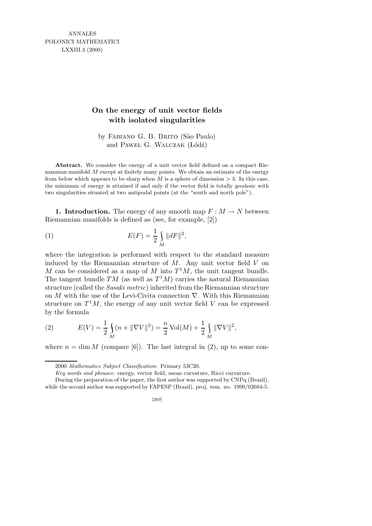ANNALES POLONICI MATHEMATICI LXXIII.3 (2000)

## **On the energy of unit vector fields with isolated singularities**

by FABIANO G. B. BRITO (São Paulo) and PAWEL G. WALCZAK (Łódź)

**Abstract.** We consider the energy of a unit vector field defined on a compact Riemannian manifold *M* except at finitely many points. We obtain an estimate of the energy from below which appears to be sharp when *M* is a sphere of dimension  $> 3$ . In this case, the minimum of energy is attained if and only if the vector field is totally geodesic with two singularities situated at two antipodal points (at the "south and north pole").

1. Introduction. The energy of any smooth map  $F : M \to N$  between Riemannian manifolds is defined as (see, for example, [2])

(1) 
$$
E(F) = \frac{1}{2} \int_{M} ||dF||^{2},
$$

where the integration is performed with respect to the standard measure induced by the Riemannian structure of  $M$ . Any unit vector field  $V$  on M can be considered as a map of M into  $T<sup>1</sup>M$ , the unit tangent bundle. The tangent bundle TM (as well as  $T^1M$ ) carries the natural Riemannian structure (called the Sasaki metric) inherited from the Riemannian structure on M with the use of the Levi-Civita connection  $\nabla$ . With this Riemannian structure on  $T^1M$ , the energy of any unit vector field V can be expressed by the formula

(2) 
$$
E(V) = \frac{1}{2} \int_{M} (n + \|\nabla V\|^2) = \frac{n}{2} \operatorname{Vol}(M) + \frac{1}{2} \int_{M} \|\nabla V\|^2,
$$

where  $n = \dim M$  (compare [6]). The last integral in (2), up to some con-

<sup>2000</sup> *Mathematics Subject Classification*: Primary 53C20.

*Key words and phrases*: energy, vector field, mean curvature, Ricci curvature.

During the preparation of the paper, the first author was supported by CNPq (Brazil), while the second author was supported by FAPESP (Brazil), proj. tem. no. 1999/02684-5.

<sup>[269]</sup>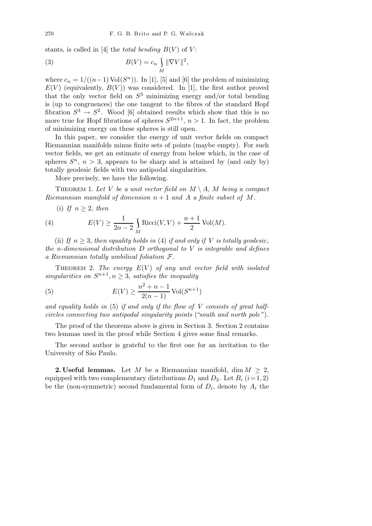stants, is called in [4] the *total bending*  $B(V)$  of  $V$ :

(3) 
$$
B(V) = c_n \int_M \|\nabla V\|^2,
$$

where  $c_n = 1/((n-1) \text{Vol}(S^n))$ . In [1], [5] and [6] the problem of minimizing  $E(V)$  (equivalently,  $B(V)$ ) was considered. In [1], the first author proved that the only vector field on  $S^3$  minimizing energy and/or total bending is (up to congruences) the one tangent to the fibres of the standard Hopf fibration  $S^3 \to S^2$ . Wood [6] obtained results which show that this is no more true for Hopf fibrations of spheres  $S^{2n+1}$ ,  $n > 1$ . In fact, the problem of minimizing energy on these spheres is still open.

In this paper, we consider the energy of unit vector fields on compact Riemannian manifolds minus finite sets of points (maybe empty). For such vector fields, we get an estimate of energy from below which, in the case of spheres  $S<sup>n</sup>$ ,  $n > 3$ , appears to be sharp and is attained by (and only by) totally geodesic fields with two antipodal singularities.

More precisely, we have the following.

THEOREM 1. Let V be a unit vector field on  $M \setminus A$ , M being a compact Riemannian manifold of dimension  $n + 1$  and A a finite subset of M.

(i) If  $n \geq 2$ , then

(4) 
$$
E(V) \ge \frac{1}{2n-2} \int_M \text{Ricci}(V, V) + \frac{n+1}{2} \text{Vol}(M).
$$

(ii) If  $n \geq 3$ , then equality holds in (4) if and only if V is totally geodesic, the n-dimensional distribution  $D$  orthogonal to  $V$  is integrable and defines a Riemannian totally umbilical foliation F.

THEOREM 2. The energy  $E(V)$  of any unit vector field with isolated singularities on  $S^{n+1}, n \geq 3$ , satisfies the inequality

(5) 
$$
E(V) \ge \frac{n^2 + n - 1}{2(n - 1)} \text{Vol}(S^{n+1})
$$

and equality holds in  $(5)$  if and only if the flow of V consists of great halfcircles connecting two antipodal singularity points ("south and north pole").

The proof of the theorems above is given in Section 3. Section 2 contains two lemmas used in the proof while Section 4 gives some final remarks.

The second author is grateful to the first one for an invitation to the University of São Paulo.

**2. Useful lemmas.** Let M be a Riemannian manifold, dim  $M \geq 2$ , equipped with two complementary distributions  $D_1$  and  $D_2$ . Let  $B_i$  (i=1,2) be the (non-symmetric) second fundamental form of  $D_i$ , denote by  $A_i$  the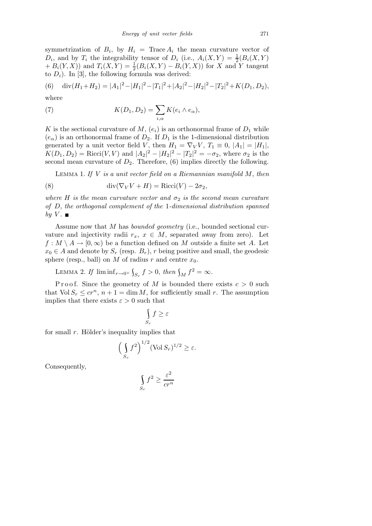symmetrization of  $B_i$ , by  $H_i = \text{Trace } A_i$  the mean curvature vector of  $D_i$ , and by  $T_i$  the integrability tensor of  $D_i$  (i.e.,  $A_i(X,Y) = \frac{1}{2}(B_i(X,Y))$  $+ B_i(Y, X)$  and  $T_i(X, Y) = \frac{1}{2}(B_i(X, Y) - B_i(Y, X))$  for X and Y tangent to  $D_i$ ). In [3], the following formula was derived:

(6) 
$$
\operatorname{div}(H_1 + H_2) = |A_1|^2 - |H_1|^2 - |T_1|^2 + |A_2|^2 - |H_2|^2 - |T_2|^2 + K(D_1, D_2),
$$

where

(7) 
$$
K(D_1, D_2) = \sum_{i,\alpha} K(e_i \wedge e_\alpha),
$$

K is the sectional curvature of M,  $(e_i)$  is an orthonormal frame of  $D_1$  while  $(e_{\alpha})$  is an orthonormal frame of  $D_2$ . If  $D_1$  is the 1-dimensional distribution generated by a unit vector field V, then  $H_1 = \nabla_V V$ ,  $T_1 \equiv 0$ ,  $|A_1| = |H_1|$ ,  $K(D_1, D_2) = \text{Ricci}(V, V)$  and  $|A_2|^2 - |H_2|^2 - |T_2|^2 = -\sigma_2$ , where  $\sigma_2$  is the second mean curvature of  $D_2$ . Therefore, (6) implies directly the following.

LEMMA 1. If  $V$  is a unit vector field on a Riemannian manifold  $M$ , then

(8) 
$$
\operatorname{div}(\nabla_V V + H) = \operatorname{Ricci}(V) - 2\sigma_2,
$$

where H is the mean curvature vector and  $\sigma_2$  is the second mean curvature of D, the orthogonal complement of the 1-dimensional distribution spanned by  $V$ .

Assume now that M has bounded geometry (i.e., bounded sectional curvature and injectivity radii  $r_x, x \in M$ , separated away from zero). Let  $f: M \setminus A \to [0, \infty)$  be a function defined on M outside a finite set A. Let  $x_0 \in A$  and denote by  $S_r$  (resp.  $B_r$ ), r being positive and small, the geodesic sphere (resp., ball) on  $M$  of radius  $r$  and centre  $x_0$ .

LEMMA 2. If  $\liminf_{r\to 0^+} \int_{S_r} f > 0$ , then  $\int_M f^2 = \infty$ .

P r o o f. Since the geometry of M is bounded there exists  $c > 0$  such that  $Vol S_r \leq c r^n$ ,  $n + 1 = \dim M$ , for sufficiently small r. The assumption implies that there exists  $\varepsilon > 0$  such that

$$
\int\limits_{S_r} f \geq \varepsilon
$$

for small  $r$ . Hölder's inequality implies that

$$
\left(\int_{S_r} f^2\right)^{1/2} (\text{Vol } S_r)^{1/2} \ge \varepsilon.
$$

Consequently,

$$
\int_{S_r} f^2 \ge \frac{\varepsilon^2}{cr^n}
$$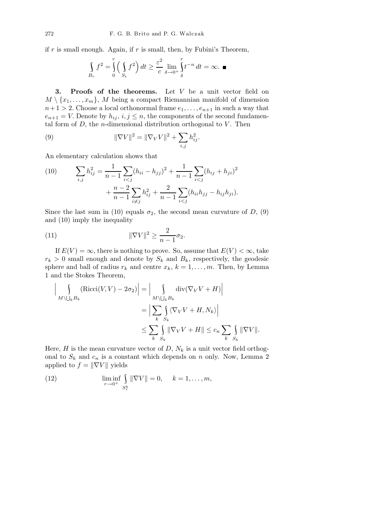if  $r$  is small enough. Again, if  $r$  is small, then, by Fubini's Theorem,

$$
\int_{B_r} f^2 = \int_0^r \left( \int_{S_t} f^2 \right) dt \ge \frac{\varepsilon^2}{c} \lim_{\delta \to 0^+} \int_{\delta}^r t^{-n} dt = \infty. \blacksquare
$$

3. Proofs of the theorems. Let  $V$  be a unit vector field on  $M \setminus \{x_1, \ldots, x_m\}, M$  being a compact Riemannian manifold of dimension  $n+1 > 2$ . Choose a local orthonormal frame  $e_1, \ldots, e_{n+1}$  in such a way that  $e_{n+1} = V$ . Denote by  $h_{ij}, i, j \leq n$ , the components of the second fundamental form of  $D$ , the *n*-dimensional distribution orthogonal to  $V$ . Then

(9) 
$$
\|\nabla V\|^2 = \|\nabla_V V\|^2 + \sum_{i,j} h_{ij}^2.
$$

An elementary calculation shows that

(10) 
$$
\sum_{i,j} h_{ij}^2 = \frac{1}{n-1} \sum_{i < j} (h_{ii} - h_{jj})^2 + \frac{1}{n-1} \sum_{i < j} (h_{ij} + h_{ji})^2 + \frac{n-2}{n-1} \sum_{i \neq j} h_{ij}^2 + \frac{2}{n-1} \sum_{i < j} (h_{ii}h_{jj} - h_{ij}h_{ji}).
$$

Since the last sum in (10) equals  $\sigma_2$ , the second mean curvature of D, (9) and (10) imply the inequality

$$
\|\nabla V\|^2 \ge \frac{2}{n-1}\sigma_2.
$$

If  $E(V) = \infty$ , there is nothing to prove. So, assume that  $E(V) < \infty$ , take  $r_k > 0$  small enough and denote by  $S_k$  and  $B_k$ , respectively, the geodesic sphere and ball of radius  $r_k$  and centre  $x_k$ ,  $k = 1, ..., m$ . Then, by Lemma 1 and the Stokes Theorem,

$$
\left| \bigcup_{M \setminus \bigcup_{k} B_{k}} (\text{Ricci}(V, V) - 2\sigma_{2}) \right| = \left| \bigcup_{M \setminus \bigcup_{k} B_{k}} \text{div}(\nabla_{V} V + H) \right|
$$
  

$$
= \left| \sum_{k} \int_{S_{k}} \langle \nabla_{V} V + H, N_{k} \rangle \right|
$$
  

$$
\leq \sum_{k} \int_{S_{k}} \|\nabla_{V} V + H\| \leq c_{n} \sum_{k} \int_{S_{k}} \|\nabla V\|.
$$

Here, H is the mean curvature vector of D,  $N_k$  is a unit vector field orthogonal to  $S_k$  and  $c_n$  is a constant which depends on n only. Now, Lemma 2 applied to  $f = \|\nabla V\|$  yields

(12) 
$$
\liminf_{r \to 0^+} \int_{S_r^k} ||\nabla V|| = 0, \quad k = 1, ..., m,
$$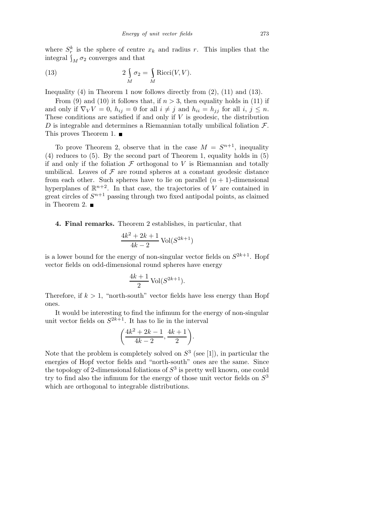where  $S_r^k$  is the sphere of centre  $x_k$  and radius r. This implies that the integral  $\int_M \sigma_2$  converges and that

(13) 
$$
2\int_{M} \sigma_2 = \int_{M} \text{Ricci}(V, V).
$$

Inequality  $(4)$  in Theorem 1 now follows directly from  $(2)$ ,  $(11)$  and  $(13)$ .

From (9) and (10) it follows that, if  $n > 3$ , then equality holds in (11) if and only if  $\nabla_V V = 0$ ,  $h_{ij} = 0$  for all  $i \neq j$  and  $h_{ii} = h_{jj}$  for all  $i, j \leq n$ . These conditions are satisfied if and only if  $V$  is geodesic, the distribution D is integrable and determines a Riemannian totally umbilical foliation  $\mathcal{F}$ . This proves Theorem 1.  $\blacksquare$ 

To prove Theorem 2, observe that in the case  $M = S^{n+1}$ , inequality (4) reduces to (5). By the second part of Theorem 1, equality holds in (5) if and only if the foliation  $\mathcal F$  orthogonal to V is Riemannian and totally umbilical. Leaves of  $\mathcal F$  are round spheres at a constant geodesic distance from each other. Such spheres have to lie on parallel  $(n + 1)$ -dimensional hyperplanes of  $\mathbb{R}^{n+2}$ . In that case, the trajectories of V are contained in great circles of  $S^{n+1}$  passing through two fixed antipodal points, as claimed in Theorem 2.  $\blacksquare$ 

4. Final remarks. Theorem 2 establishes, in particular, that

$$
\frac{4k^2 + 2k + 1}{4k - 2} \operatorname{Vol}(S^{2k+1})
$$

is a lower bound for the energy of non-singular vector fields on  $S^{2k+1}$ . Hopf vector fields on odd-dimensional round spheres have energy

$$
\frac{4k+1}{2}\operatorname{Vol}(S^{2k+1}).
$$

Therefore, if  $k > 1$ , "north-south" vector fields have less energy than Hopf ones.

It would be interesting to find the infimum for the energy of non-singular unit vector fields on  $S^{2k+1}$ . It has to lie in the interval

$$
\bigg(\frac{4k^2+2k-1}{4k-2},\frac{4k+1}{2}\bigg).
$$

Note that the problem is completely solved on  $S<sup>3</sup>$  (see [1]), in particular the energies of Hopf vector fields and "north-south" ones are the same. Since the topology of 2-dimensional foliations of  $S^3$  is pretty well known, one could try to find also the infimum for the energy of those unit vector fields on  $S^3$ which are orthogonal to integrable distributions.